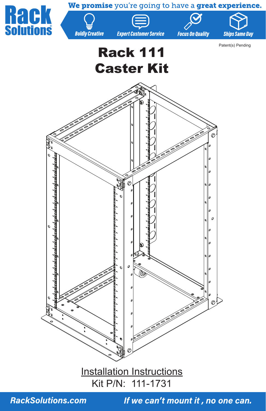

**RackSolutions.com**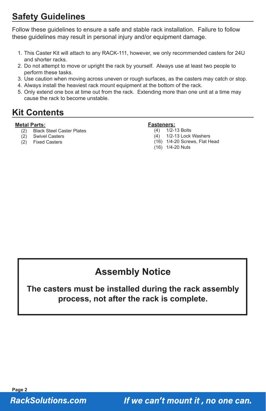# **Safety Guidelines**

Follow these guidelines to ensure a safe and stable rack installation. Failure to follow these guidelines may result in personal injury and/or equipment damage.

- 1. This Caster Kit will attach to any RACK-111, however, we only recommended casters for 24U and shorter racks.
- 2. Do not attempt to move or upright the rack by yourself. Always use at least two people to perform these tasks.
- 3. Use caution when moving across uneven or rough surfaces, as the casters may catch or stop.
- 4. Always install the heaviest rack mount equipment at the bottom of the rack.
- 5. Only extend one box at time out from the rack. Extending more than one unit at a time may cause the rack to become unstable.

### **Kit Contents**

#### **Metal Parts:**

- (2) Black Steel Caster Plates
- (2) Swivel Casters
- (2) Fixed Casters

#### **Fasteners:**

- (4) 1/2-13 Bolts
- 1/2-13 Lock Washers
- (16) 1/4-20 Screws, Flat Head
- (16) 1/4-20 Nuts

# **Assembly Notice**

### **The casters must be installed during the rack assembly process, not after the rack is complete.**

**Page 2 RackSolutions.com**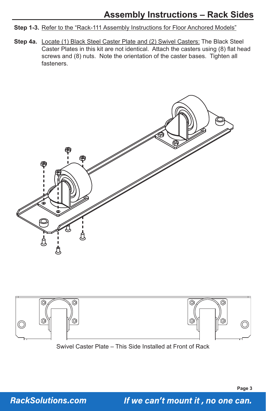#### Step 1-3. Refer to the "Rack-111 Assembly Instructions for Floor Anchored Models"

Step 4a. Locate (1) Black Steel Caster Plate and (2) Swivel Casters: The Black Steel Caster Plates in this kit are not identical. Attach the casters using (8) flat head screws and (8) nuts. Note the orientation of the caster bases. Tighten all fasteners.





Swivel Caster Plate – This Side Installed at Front of Rack

**RackSolutions.com**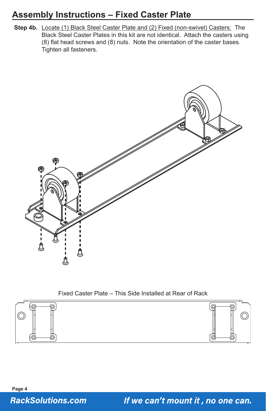# **Assembly Instructions – Fixed Caster Plate**

**Step 4b.** Locate (1) Black Steel Caster Plate and (2) Fixed (non-swivel) Casters: The Black Steel Caster Plates in this kit are not identical. Attach the casters using (8) flat head screws and (8) nuts. Note the orientation of the caster bases. Tighten all fasteners.



#### Fixed Caster Plate – This Side Installed at Rear of Rack



**Page 4 RackSolutions.com**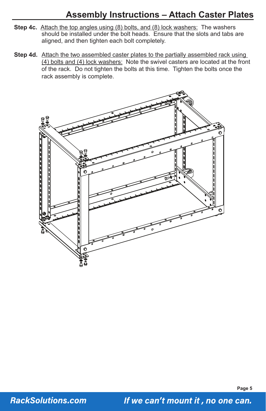### **Assembly Instructions – Attach Caster Plates**

- **Step 4c.** Attach the top angles using (8) bolts, and (8) lock washers: The washers should be installed under the bolt heads. Ensure that the slots and tabs are aligned, and then tighten each bolt completely.
- **Step 4d.** Attach the two assembled caster plates to the partially assembled rack using (4) bolts and (4) lock washers: Note the swivel casters are located at the front of the rack. Do not tighten the bolts at this time. Tighten the bolts once the rack assembly is complete.



**Page 5**

**RackSolutions.com**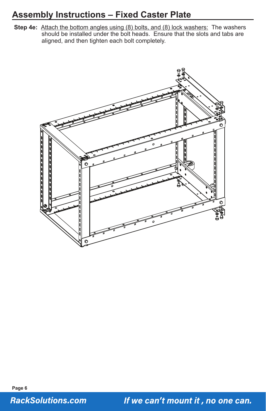# **Assembly Instructions – Fixed Caster Plate**

**Step 4e:** Attach the bottom angles using (8) bolts, and (8) lock washers: The washers should be installed under the bolt heads. Ensure that the slots and tabs are aligned, and then tighten each bolt completely.



**Page 6 RackSolutions.com**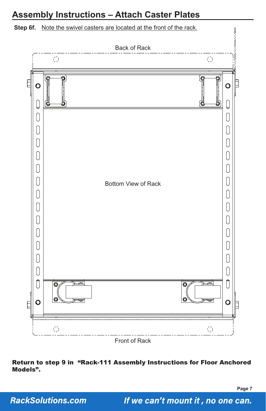## **Assembly Instructions – Attach Caster Plates**



**Step 6f.** Note the swivel casters are located at the front of the rack.

Return to step 9 in "Rack-111 Assembly Instructions for Floor Anchored Models".

**Page 7**

**RackSolutions.com**